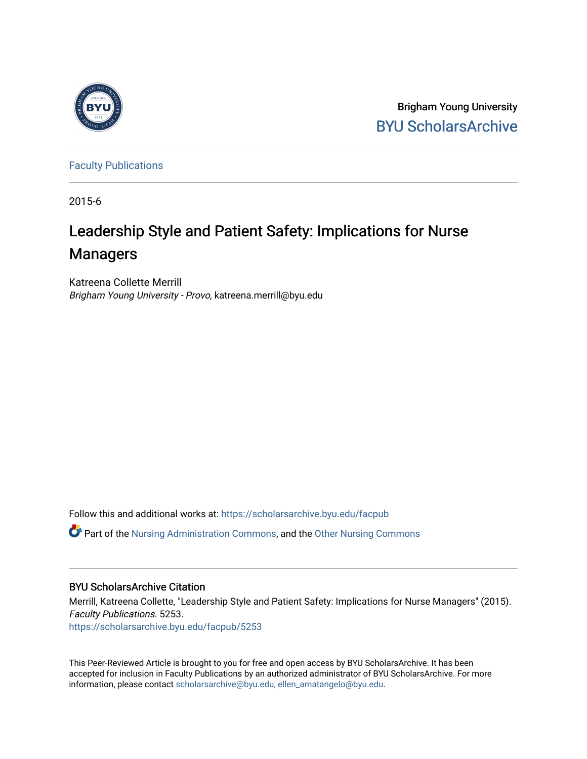

Brigham Young University [BYU ScholarsArchive](https://scholarsarchive.byu.edu/) 

[Faculty Publications](https://scholarsarchive.byu.edu/facpub)

2015-6

# Leadership Style and Patient Safety: Implications for Nurse Managers

Katreena Collette Merrill Brigham Young University - Provo, katreena.merrill@byu.edu

Follow this and additional works at: [https://scholarsarchive.byu.edu/facpub](https://scholarsarchive.byu.edu/facpub?utm_source=scholarsarchive.byu.edu%2Ffacpub%2F5253&utm_medium=PDF&utm_campaign=PDFCoverPages) 

 $\bullet$  Part of the [Nursing Administration Commons](http://network.bepress.com/hgg/discipline/719?utm_source=scholarsarchive.byu.edu%2Ffacpub%2F5253&utm_medium=PDF&utm_campaign=PDFCoverPages), and the Other Nursing Commons

# BYU ScholarsArchive Citation

Merrill, Katreena Collette, "Leadership Style and Patient Safety: Implications for Nurse Managers" (2015). Faculty Publications. 5253.

[https://scholarsarchive.byu.edu/facpub/5253](https://scholarsarchive.byu.edu/facpub/5253?utm_source=scholarsarchive.byu.edu%2Ffacpub%2F5253&utm_medium=PDF&utm_campaign=PDFCoverPages)

This Peer-Reviewed Article is brought to you for free and open access by BYU ScholarsArchive. It has been accepted for inclusion in Faculty Publications by an authorized administrator of BYU ScholarsArchive. For more information, please contact [scholarsarchive@byu.edu, ellen\\_amatangelo@byu.edu.](mailto:scholarsarchive@byu.edu,%20ellen_amatangelo@byu.edu)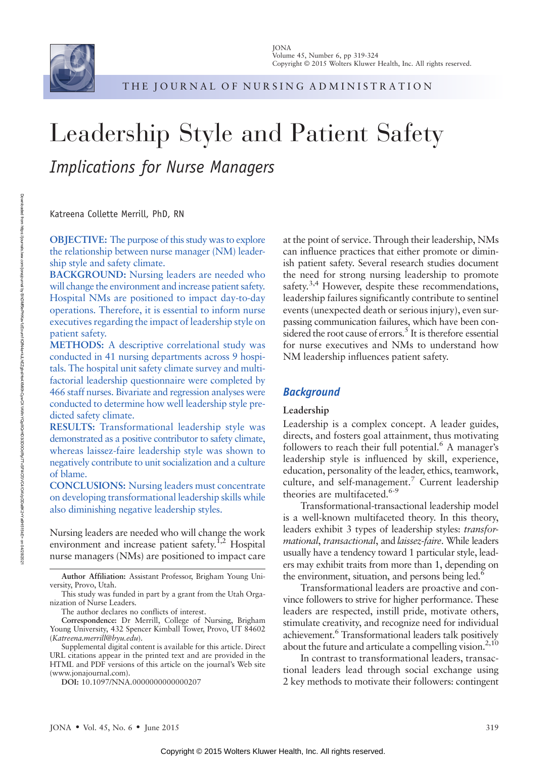

THE JOURNAL OF NURSING ADMINISTRATION

# Leadership Style and Patient Safety Implications for Nurse Managers

Katreena Collette Merrill, PhD, RN

OBJECTIVE: The purpose of this study was to explore the relationship between nurse manager (NM) leadership style and safety climate.

BACKGROUND: Nursing leaders are needed who will change the environment and increase patient safety. Hospital NMs are positioned to impact day-to-day operations. Therefore, it is essential to inform nurse executives regarding the impact of leadership style on patient safety.

METHODS: A descriptive correlational study was conducted in 41 nursing departments across 9 hospitals. The hospital unit safety climate survey and multifactorial leadership questionnaire were completed by 466 staff nurses. Bivariate and regression analyses were conducted to determine how well leadership style predicted safety climate.

RESULTS: Transformational leadership style was demonstrated as a positive contributor to safety climate, whereas laissez-faire leadership style was shown to negatively contribute to unit socialization and a culture of blame.

CONCLUSIONS: Nursing leaders must concentrate on developing transformational leadership skills while also diminishing negative leadership styles.

Nursing leaders are needed who will change the work environment and increase patient safety.<sup>1,2</sup> Hospital nurse managers (NMs) are positioned to impact care at the point of service. Through their leadership, NMs can influence practices that either promote or diminish patient safety. Several research studies document the need for strong nursing leadership to promote safety. $3,4$  However, despite these recommendations, leadership failures significantly contribute to sentinel events (unexpected death or serious injury), even surpassing communication failures, which have been considered the root cause of errors.<sup>5</sup> It is therefore essential for nurse executives and NMs to understand how NM leadership influences patient safety.

#### **Background**

#### Leadership

Leadership is a complex concept. A leader guides, directs, and fosters goal attainment, thus motivating followers to reach their full potential.<sup>6</sup> A manager's leadership style is influenced by skill, experience, education, personality of the leader, ethics, teamwork, culture, and self-management.<sup>7</sup> Current leadership theories are multifaceted.<sup>6-9</sup>

Transformational-transactional leadership model is a well-known multifaceted theory. In this theory, leaders exhibit 3 types of leadership styles: transformational, transactional, and laissez-faire. While leaders usually have a tendency toward 1 particular style, leaders may exhibit traits from more than 1, depending on the environment, situation, and persons being led.<sup>6</sup>

Transformational leaders are proactive and convince followers to strive for higher performance. These leaders are respected, instill pride, motivate others, stimulate creativity, and recognize need for individual achievement.6 Transformational leaders talk positively about the future and articulate a compelling vision.<sup>2,10</sup>

In contrast to transformational leaders, transactional leaders lead through social exchange using 2 key methods to motivate their followers: contingent

Author Affiliation: Assistant Professor, Brigham Young University, Provo, Utah.

This study was funded in part by a grant from the Utah Organization of Nurse Leaders.

The author declares no conflicts of interest.

Correspondence: Dr Merrill, College of Nursing, Brigham Young University, 432 Spencer Kimball Tower, Provo, UT 84602 ([Katreena.merrill@byu.edu](mailto:Katreena.merrill@byu.edu)).

Supplemental digital content is available for this article. Direct URL citations appear in the printed text and are provided in the HTML and PDF versions of this article on the journal's Web site [\(www.jonajournal.com](http://www.jonajournal.com)).

DOI: 10.1097/NNA.0000000000000207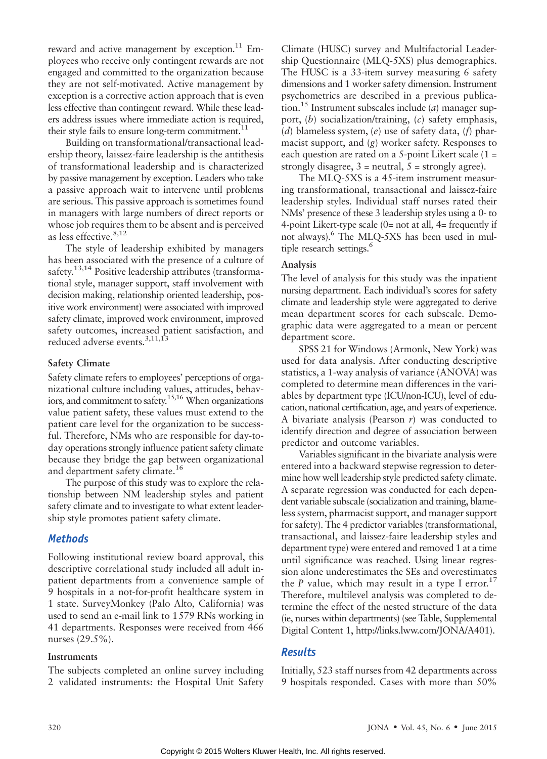reward and active management by exception.<sup>11</sup> Employees who receive only contingent rewards are not engaged and committed to the organization because they are not self-motivated. Active management by exception is a corrective action approach that is even less effective than contingent reward. While these leaders address issues where immediate action is required, their style fails to ensure long-term commitment. $^{11}$ 

Building on transformational/transactional leadership theory, laissez-faire leadership is the antithesis of transformational leadership and is characterized by passive management by exception. Leaders who take a passive approach wait to intervene until problems are serious. This passive approach is sometimes found in managers with large numbers of direct reports or whose job requires them to be absent and is perceived as less effective.<sup>8,12</sup>

The style of leadership exhibited by managers has been associated with the presence of a culture of safety.<sup>13,14</sup> Positive leadership attributes (transformational style, manager support, staff involvement with decision making, relationship oriented leadership, positive work environment) were associated with improved safety climate, improved work environment, improved safety outcomes, increased patient satisfaction, and reduced adverse events.<sup>3,11,13</sup>

#### Safety Climate

Safety climate refers to employees' perceptions of organizational culture including values, attitudes, behaviors, and commitment to safety.<sup>15,16</sup> When organizations value patient safety, these values must extend to the patient care level for the organization to be successful. Therefore, NMs who are responsible for day-today operations strongly influence patient safety climate because they bridge the gap between organizational and department safety climate.<sup>16</sup>

The purpose of this study was to explore the relationship between NM leadership styles and patient safety climate and to investigate to what extent leadership style promotes patient safety climate.

# **Methods**

Following institutional review board approval, this descriptive correlational study included all adult inpatient departments from a convenience sample of 9 hospitals in a not-for-profit healthcare system in 1 state. SurveyMonkey (Palo Alto, California) was used to send an e-mail link to 1579 RNs working in 41 departments. Responses were received from 466 nurses (29.5%).

# Instruments

The subjects completed an online survey including 2 validated instruments: the Hospital Unit Safety Climate (HUSC) survey and Multifactorial Leadership Questionnaire (MLQ-5XS) plus demographics. The HUSC is a 33-item survey measuring 6 safety dimensions and 1 worker safety dimension. Instrument psychometrics are described in a previous publication.<sup>15</sup> Instrument subscales include (*a*) manager support, (b) socialization/training, (c) safety emphasis, (d) blameless system, (e) use of safety data, (f) pharmacist support, and (g) worker safety. Responses to each question are rated on a 5-point Likert scale (1 = strongly disagree,  $3$  = neutral,  $5$  = strongly agree).

The MLQ-5XS is a 45-item instrument measuring transformational, transactional and laissez-faire leadership styles. Individual staff nurses rated their NMs' presence of these 3 leadership styles using a 0- to 4-point Likert-type scale  $(0=$  not at all,  $4=$  frequently if not always).<sup>6</sup> The MLQ-5XS has been used in multiple research settings.<sup>6</sup>

# Analysis

The level of analysis for this study was the inpatient nursing department. Each individual's scores for safety climate and leadership style were aggregated to derive mean department scores for each subscale. Demographic data were aggregated to a mean or percent department score.

SPSS 21 for Windows (Armonk, New York) was used for data analysis. After conducting descriptive statistics, a 1-way analysis of variance (ANOVA) was completed to determine mean differences in the variables by department type (ICU/non-ICU), level of education, national certification, age, and years of experience. A bivariate analysis (Pearson  $r$ ) was conducted to identify direction and degree of association between predictor and outcome variables.

Variables significant in the bivariate analysis were entered into a backward stepwise regression to determine how well leadership style predicted safety climate. A separate regression was conducted for each dependent variable subscale (socialization and training, blameless system, pharmacist support, and manager support for safety). The 4 predictor variables (transformational, transactional, and laissez-faire leadership styles and department type) were entered and removed 1 at a time until significance was reached. Using linear regression alone underestimates the SEs and overestimates the P value, which may result in a type I error.<sup>17</sup> Therefore, multilevel analysis was completed to determine the effect of the nested structure of the data (ie, nurses within departments) (see Table, Supplemental Digital Content 1, [http://links.lww.com/JONA/A401\)](http://links.lww.com/JONA/A401).

# **Results**

Initially, 523 staff nurses from 42 departments across 9 hospitals responded. Cases with more than 50%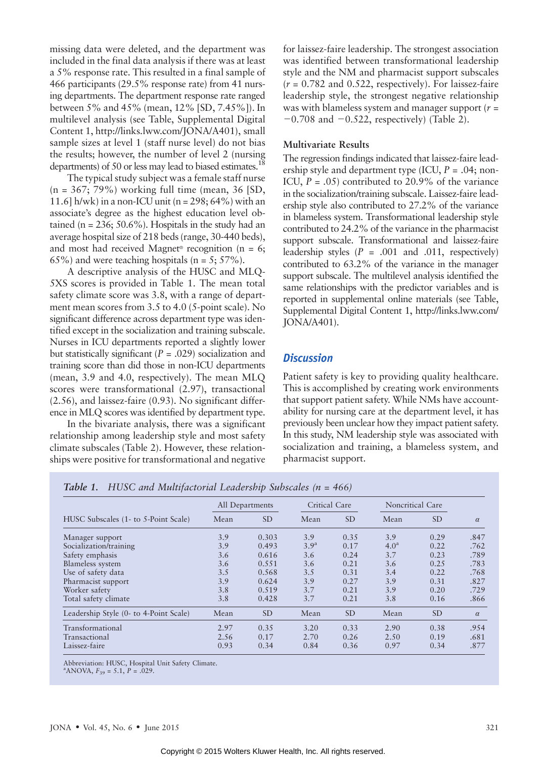missing data were deleted, and the department was included in the final data analysis if there was at least a 5% response rate. This resulted in a final sample of 466 participants (29.5% response rate) from 41 nursing departments. The department response rate ranged between 5% and 45% (mean, 12% [SD, 7.45%]). In multilevel analysis (see Table, Supplemental Digital Content 1, [http://links.lww.com/JONA/A401\)](http://links.lww.com/JONA/A401), small sample sizes at level 1 (staff nurse level) do not bias the results; however, the number of level 2 (nursing departments) of 50 or less may lead to biased estimates.<sup>18</sup>

The typical study subject was a female staff nurse (n = 367; 79%) working full time (mean, 36 [SD, 11.6] h/wk) in a non-ICU unit (n =  $298$ ; 64%) with an associate's degree as the highest education level obtained (n =  $236$ ;  $50.6\%$ ). Hospitals in the study had an average hospital size of 218 beds (range, 30-440 beds), and most had received Magnet<sup>®</sup> recognition ( $n = 6$ ;  $65\%$ ) and were teaching hospitals (n = 5;  $57\%$ ).

A descriptive analysis of the HUSC and MLQ-5XS scores is provided in Table 1. The mean total safety climate score was 3.8, with a range of department mean scores from 3.5 to 4.0 (5-point scale). No significant difference across department type was identified except in the socialization and training subscale. Nurses in ICU departments reported a slightly lower but statistically significant ( $P = .029$ ) socialization and training score than did those in non-ICU departments (mean, 3.9 and 4.0, respectively). The mean MLQ scores were transformational (2.97), transactional (2.56), and laissez-faire (0.93). No significant difference in MLQ scores was identified by department type.

In the bivariate analysis, there was a significant relationship among leadership style and most safety climate subscales (Table 2). However, these relationships were positive for transformational and negative for laissez-faire leadership. The strongest association was identified between transformational leadership style and the NM and pharmacist support subscales  $(r = 0.782$  and 0.522, respectively). For laissez-faire leadership style, the strongest negative relationship was with blameless system and manager support ( $r =$  $-0.708$  and  $-0.522$ , respectively) (Table 2).

#### Multivariate Results

The regression findings indicated that laissez-faire leadership style and department type (ICU,  $P = .04$ ; non-ICU,  $P = .05$ ) contributed to 20.9% of the variance in the socialization/training subscale. Laissez-faire leadership style also contributed to 27.2% of the variance in blameless system. Transformational leadership style contributed to 24.2% of the variance in the pharmacist support subscale. Transformational and laissez-faire leadership styles  $(P = .001$  and  $.011$ , respectively) contributed to 63.2% of the variance in the manager support subscale. The multilevel analysis identified the same relationships with the predictor variables and is reported in supplemental online materials (see Table, Supplemental Digital Content 1, [http://links.lww.com/](http://links.lww.com/JONA/A401) [JONA/A401](http://links.lww.com/JONA/A401)).

#### **Discussion**

Patient safety is key to providing quality healthcare. This is accomplished by creating work environments that support patient safety. While NMs have accountability for nursing care at the department level, it has previously been unclear how they impact patient safety. In this study, NM leadership style was associated with socialization and training, a blameless system, and pharmacist support.

|                                        | Critical Care<br>All Departments |           |                  | Noncritical Care |                  |               |          |
|----------------------------------------|----------------------------------|-----------|------------------|------------------|------------------|---------------|----------|
| HUSC Subscales (1- to 5-Point Scale)   | Mean                             | <b>SD</b> | Mean             | <b>SD</b>        | Mean             | <sub>SD</sub> | $\alpha$ |
| Manager support                        | 3.9                              | 0.303     | 3.9              | 0.35             | 3.9              | 0.29          | .847     |
| Socialization/training                 | 3.9                              | 0.493     | 3.9 <sup>a</sup> | 0.17             | 4.0 <sup>a</sup> | 0.22          | .762     |
| Safety emphasis                        | 3.6                              | 0.616     | 3.6              | 0.24             | 3.7              | 0.23          | .789     |
| Blameless system                       | 3.6                              | 0.551     | 3.6              | 0.21             | 3.6              | 0.25          | .783     |
| Use of safety data                     | 3.5                              | 0.568     | 3.5              | 0.31             | 3.4              | 0.22          | .768     |
| Pharmacist support                     | 3.9                              | 0.624     | 3.9              | 0.27             | 3.9              | 0.31          | .827     |
| Worker safety                          | 3.8                              | 0.519     | 3.7              | 0.21             | 3.9              | 0.20          | .729     |
| Total safety climate                   | 3.8                              | 0.428     | 3.7              | 0.21             | 3.8              | 0.16          | .866     |
| Leadership Style (0- to 4-Point Scale) | Mean                             | <b>SD</b> | Mean             | <b>SD</b>        | Mean             | <sub>SD</sub> | $\alpha$ |
| Transformational                       | 2.97                             | 0.35      | 3.20             | 0.33             | 2.90             | 0.38          | .954     |
| Transactional                          | 2.56                             | 0.17      | 2.70             | 0.26             | 2.50             | 0.19          | .681     |
| Laissez-faire                          | 0.93                             | 0.34      | 0.84             | 0.36             | 0.97             | 0.34          | .877     |

Table 1. HUSC and Multifactorial Leadership Subscales (n = 466)

Abbreviation: HUSC, Hospital Unit Safety Climate.

<sup>a</sup>ANOVA,  $F_{39} = 5.1, P = .029.$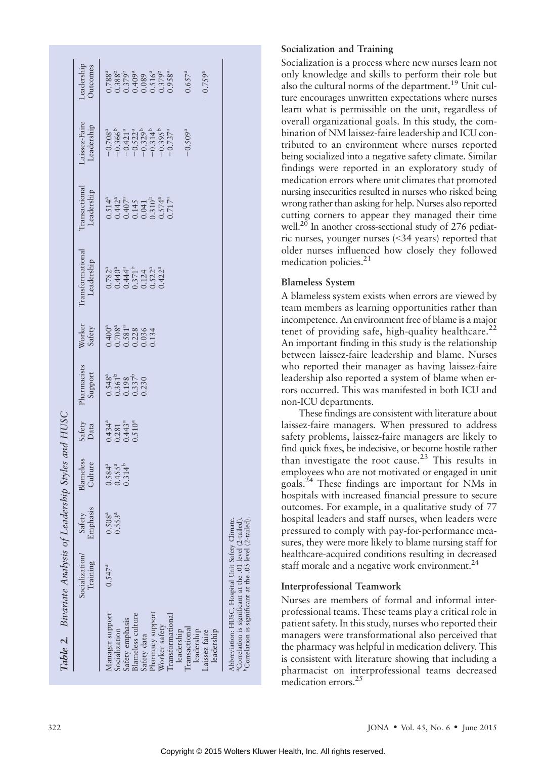| Table 2. Bivariate Analysis of Leadership                                                                                                                                                                                    |                           |                            |                                                                      | Styles and HUSC                                                                 |                                                                                            |                                                                                                       |                                         |                                                                                                                   |                                                                                                                         |                                                                                                                                                                                                                       |
|------------------------------------------------------------------------------------------------------------------------------------------------------------------------------------------------------------------------------|---------------------------|----------------------------|----------------------------------------------------------------------|---------------------------------------------------------------------------------|--------------------------------------------------------------------------------------------|-------------------------------------------------------------------------------------------------------|-----------------------------------------|-------------------------------------------------------------------------------------------------------------------|-------------------------------------------------------------------------------------------------------------------------|-----------------------------------------------------------------------------------------------------------------------------------------------------------------------------------------------------------------------|
|                                                                                                                                                                                                                              | Socialization<br>Training | Emphasis<br>Safety         | Blameless<br>Culture                                                 | Safety<br>Data                                                                  | Pharmacists<br>Support                                                                     | Worker<br>Safety                                                                                      | Transformational<br>Leadership          | <b>Transactional</b><br>Leadership                                                                                | Laissez-Faire<br>Leadership                                                                                             | Leadership<br>Outcomes                                                                                                                                                                                                |
| Pharmacy support<br>Manager support<br>Blameless culture<br>Transformational<br>Safety emphasis<br>Worker safety<br>Transactional<br>Socialization<br>leadership<br>leadership<br>leadership<br>Laissez-faire<br>Safety data | $0.547^a$                 | $0.553^{a}$<br>$0.508^{a}$ | $0.584$ <sup>a</sup><br>$0.455$ <sup>a</sup><br>$0.314$ <sup>b</sup> | $0.434$ <sup>a</sup><br>$0.281$<br>$0.443$ <sup>a</sup><br>$0.510$ <sup>a</sup> | $0.548$ <sup>a</sup><br>$0.361$ <sup>b</sup><br>$0.198$<br>$0.337$ <sup>b</sup><br>$0.330$ | $0.400$ <sup>a</sup><br>$0.708$ <sup>a</sup><br>$0.581$ <sup>a</sup><br>$0.228$<br>$0.036$<br>$0.134$ | $0.782a\n0.440a\n0.371b\n0.124\n0.522a$ | $0.514^{a}_{1}$<br>$0.442^{a}_{2}$<br>$0.145$<br>$0.041$<br>$0.574^{a}_{4}$<br>$0.574^{a}_{4}$<br>$0.574^{a}_{4}$ | $-0.708^a$<br>$-0.366^b$<br>$-0.421^a$<br>$-0.522^a$<br>$-0.314^b$<br>$-0.395^b$<br>$-0.395^a$<br>$-0.509$ <sup>a</sup> | $\begin{array}{c} 0.788^{\mathrm{a}}\\ 0.388\mathrm{b}\\ 0.379\mathrm{b}\\ 0.0409^{\mathrm{a}}\\ 0.089\\ 0.0379^{\mathrm{b}}\\ 0.0379^{\mathrm{b}}\\ 0.378^{\mathrm{a}}\\ \end{array}$<br>$-0.759^{a}$<br>$0.657^{a}$ |
| Abbreviation: HUSC, Hospital Unit Safety Climate.<br><sup>a</sup> Correlation is significant at the .01 level (2-tailed).<br><sup>b</sup> Correlation is significant at the .05 level (2-tailed)                             |                           |                            |                                                                      |                                                                                 |                                                                                            |                                                                                                       |                                         |                                                                                                                   |                                                                                                                         |                                                                                                                                                                                                                       |

#### Socialization and Training

Socialization is a process where new nurses learn not only knowledge and skills to perform their role but also the cultural norms of the department.19 Unit culture encourages unwritten expectations where nurses learn what is permissible on the unit, regardless of overall organizational goals. In this study, the combination of NM laissez-faire leadership and ICU contributed to an environment where nurses reported being socialized into a negative safety climate. Similar findings were reported in an exploratory study of medication errors where unit climates that promoted nursing insecurities resulted in nurses who risked being wrong rather than asking for help. Nurses also reported cutting corners to appear they managed their time well.<sup>20</sup> In another cross-sectional study of 276 pediatric nurses, younger nurses (*G*34 years) reported that older nurses influenced how closely they followed medication policies.<sup>21</sup>

#### Blameless System

A blameless system exists when errors are viewed by team members as learning opportunities rather than incompetence. An environment free of blame is a major tenet of providing safe, high-quality healthcare.<sup>22</sup> An important finding in this study is the relationship between laissez-faire leadership and blame. Nurses who reported their manager as having laissez-faire leadership also reported a system of blame when errors occurred. This was manifested in both ICU and non-ICU departments.

These findings are consistent with literature about laissez-faire managers. When pressured to address safety problems, laissez-faire managers are likely to find quick fixes, be indecisive, or become hostile rather than investigate the root cause.<sup>23</sup> This results in employees who are not motivated or engaged in unit goals.24 These findings are important for NMs in hospitals with increased financial pressure to secure outcomes. For example, in a qualitative study of 77 hospital leaders and staff nurses, when leaders were pressured to comply with pay-for-performance measures, they were more likely to blame nursing staff for healthcare-acquired conditions resulting in decreased staff morale and a negative work environment.<sup>24</sup>

#### Interprofessional Teamwork

Nurses are members of formal and informal interprofessional teams. These teams play a critical role in patient safety. In this study, nurses who reported their managers were transformational also perceived that the pharmacy was helpful in medication delivery. This is consistent with literature showing that including a pharmacist on interprofessional teams decreased medication errors.<sup>25</sup>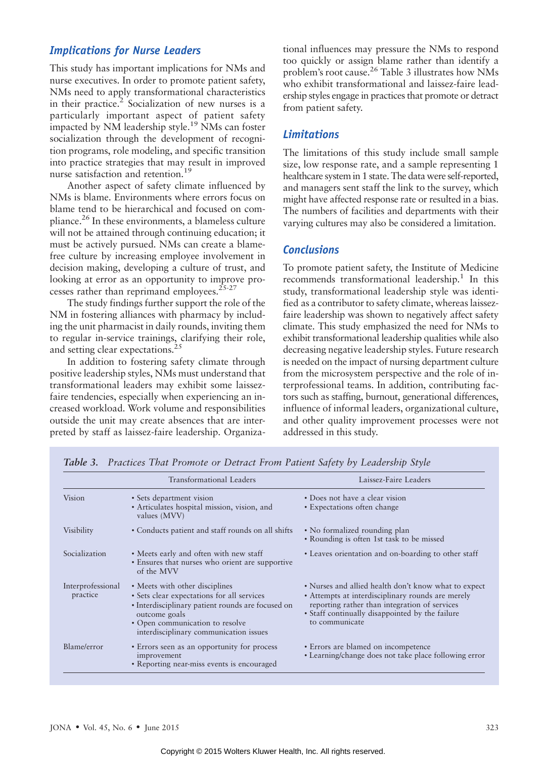# Implications for Nurse Leaders

This study has important implications for NMs and nurse executives. In order to promote patient safety, NMs need to apply transformational characteristics in their practice.<sup>2</sup> Socialization of new nurses is a particularly important aspect of patient safety impacted by NM leadership style.<sup>19</sup> NMs can foster socialization through the development of recognition programs, role modeling, and specific transition into practice strategies that may result in improved nurse satisfaction and retention.<sup>19</sup>

Another aspect of safety climate influenced by NMs is blame. Environments where errors focus on blame tend to be hierarchical and focused on compliance.26 In these environments, a blameless culture will not be attained through continuing education; it must be actively pursued. NMs can create a blamefree culture by increasing employee involvement in decision making, developing a culture of trust, and looking at error as an opportunity to improve processes rather than reprimand employees. $25-27$ 

The study findings further support the role of the NM in fostering alliances with pharmacy by including the unit pharmacist in daily rounds, inviting them to regular in-service trainings, clarifying their role, and setting clear expectations.<sup>25</sup>

In addition to fostering safety climate through positive leadership styles, NMs must understand that transformational leaders may exhibit some laissezfaire tendencies, especially when experiencing an increased workload. Work volume and responsibilities outside the unit may create absences that are interpreted by staff as laissez-faire leadership. Organizational influences may pressure the NMs to respond too quickly or assign blame rather than identify a problem's root cause.26 Table 3 illustrates how NMs who exhibit transformational and laissez-faire leadership styles engage in practices that promote or detract from patient safety.

# Limitations

The limitations of this study include small sample size, low response rate, and a sample representing 1 healthcare system in 1 state. The data were self-reported, and managers sent staff the link to the survey, which might have affected response rate or resulted in a bias. The numbers of facilities and departments with their varying cultures may also be considered a limitation.

# **Conclusions**

To promote patient safety, the Institute of Medicine recommends transformational leadership.<sup>1</sup> In this study, transformational leadership style was identified as a contributor to safety climate, whereas laissezfaire leadership was shown to negatively affect safety climate. This study emphasized the need for NMs to exhibit transformational leadership qualities while also decreasing negative leadership styles. Future research is needed on the impact of nursing department culture from the microsystem perspective and the role of interprofessional teams. In addition, contributing factors such as staffing, burnout, generational differences, influence of informal leaders, organizational culture, and other quality improvement processes were not addressed in this study.

|                               | Transformational Leaders                                                                                                                                                                                                        | Laissez-Faire Leaders                                                                                                                                                                                                           |
|-------------------------------|---------------------------------------------------------------------------------------------------------------------------------------------------------------------------------------------------------------------------------|---------------------------------------------------------------------------------------------------------------------------------------------------------------------------------------------------------------------------------|
| <b>Vision</b>                 | • Sets department vision<br>• Articulates hospital mission, vision, and<br>values (MVV)                                                                                                                                         | • Does not have a clear vision<br>• Expectations often change                                                                                                                                                                   |
| Visibility                    | • Conducts patient and staff rounds on all shifts                                                                                                                                                                               | • No formalized rounding plan<br>• Rounding is often 1st task to be missed                                                                                                                                                      |
| Socialization                 | • Meets early and often with new staff<br>• Ensures that nurses who orient are supportive<br>of the MVV                                                                                                                         | • Leaves orientation and on-boarding to other staff                                                                                                                                                                             |
| Interprofessional<br>practice | • Meets with other disciplines<br>• Sets clear expectations for all services<br>• Interdisciplinary patient rounds are focused on<br>outcome goals<br>• Open communication to resolve<br>interdisciplinary communication issues | • Nurses and allied health don't know what to expect<br>• Attempts at interdisciplinary rounds are merely<br>reporting rather than integration of services<br>• Staff continually disappointed by the failure<br>to communicate |
| Blame/error                   | • Errors seen as an opportunity for process<br>improvement<br>• Reporting near-miss events is encouraged                                                                                                                        | • Errors are blamed on incompetence<br>• Learning/change does not take place following error                                                                                                                                    |

Table 3. Practices That Promote or Detract From Patient Safety by Leadership Style